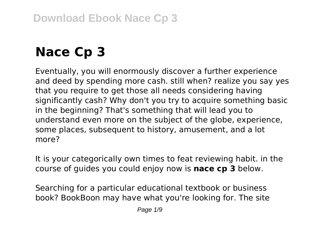# **Nace Cp 3**

Eventually, you will enormously discover a further experience and deed by spending more cash. still when? realize you say yes that you require to get those all needs considering having significantly cash? Why don't you try to acquire something basic in the beginning? That's something that will lead you to understand even more on the subject of the globe, experience, some places, subsequent to history, amusement, and a lot more?

It is your categorically own times to feat reviewing habit. in the course of guides you could enjoy now is **nace cp 3** below.

Searching for a particular educational textbook or business book? BookBoon may have what you're looking for. The site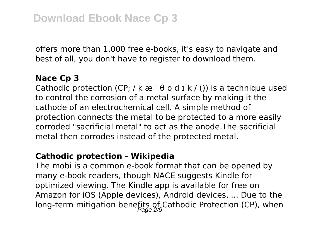offers more than 1,000 free e-books, it's easy to navigate and best of all, you don't have to register to download them.

#### **Nace Cp 3**

Cathodic protection (CP; / k  $\approx$  '  $\theta$  p d  $\frac{1}{1}$  k / ()) is a technique used to control the corrosion of a metal surface by making it the cathode of an electrochemical cell. A simple method of protection connects the metal to be protected to a more easily corroded "sacrificial metal" to act as the anode.The sacrificial metal then corrodes instead of the protected metal.

#### **Cathodic protection - Wikipedia**

The mobi is a common e-book format that can be opened by many e-book readers, though NACE suggests Kindle for optimized viewing. The Kindle app is available for free on Amazon for iOS (Apple devices), Android devices, ... Due to the long-term mitigation benefits of Cathodic Protection (CP), when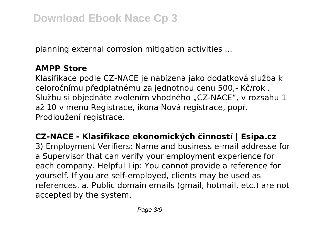planning external corrosion mitigation activities ...

## **AMPP Store**

Klasifikace podle CZ-NACE je nabízena jako dodatková služba k celoročnímu předplatnému za jednotnou cenu 500,- Kč/rok . Službu si objednáte zvolením vhodného "CZ-NACE", v rozsahu 1 až 10 v menu Registrace, ikona Nová registrace, popř. Prodloužení registrace.

**CZ-NACE - Klasifikace ekonomických činností | Esipa.cz** 3) Employment Verifiers: Name and business e-mail addresse for a Supervisor that can verify your employment experience for each company. Helpful Tip: You cannot provide a reference for yourself. If you are self-employed, clients may be used as references. a. Public domain emails (gmail, hotmail, etc.) are not accepted by the system.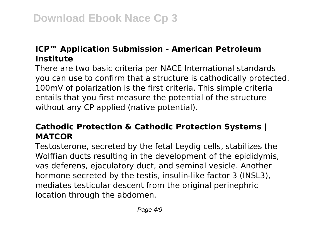# **ICP™ Application Submission - American Petroleum Institute**

There are two basic criteria per NACE International standards you can use to confirm that a structure is cathodically protected. 100mV of polarization is the first criteria. This simple criteria entails that you first measure the potential of the structure without any CP applied (native potential).

# **Cathodic Protection & Cathodic Protection Systems | MATCOR**

Testosterone, secreted by the fetal Leydig cells, stabilizes the Wolffian ducts resulting in the development of the epididymis, vas deferens, ejaculatory duct, and seminal vesicle. Another hormone secreted by the testis, insulin-like factor 3 (INSL3), mediates testicular descent from the original perinephric location through the abdomen.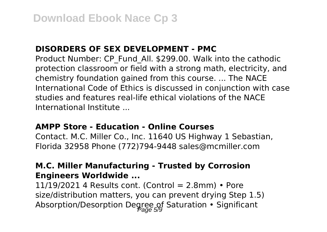#### **DISORDERS OF SEX DEVELOPMENT - PMC**

Product Number: CP\_Fund\_All. \$299.00. Walk into the cathodic protection classroom or field with a strong math, electricity, and chemistry foundation gained from this course. ... The NACE International Code of Ethics is discussed in conjunction with case studies and features real-life ethical violations of the NACE International Institute ...

#### **AMPP Store - Education - Online Courses**

Contact. M.C. Miller Co., Inc. 11640 US Highway 1 Sebastian, Florida 32958 Phone (772)794-9448 sales@mcmiller.com

#### **M.C. Miller Manufacturing - Trusted by Corrosion Engineers Worldwide ...**

 $11/19/2021$  4 Results cont. (Control = 2.8mm) • Pore size/distribution matters, you can prevent drying Step 1.5) Absorption/Desorption Degree of Saturation • Significant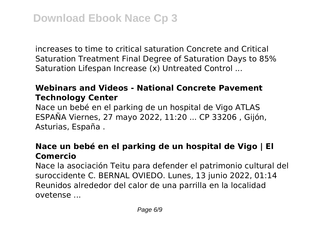increases to time to critical saturation Concrete and Critical Saturation Treatment Final Degree of Saturation Days to 85% Saturation Lifespan Increase (x) Untreated Control ...

# **Webinars and Videos - National Concrete Pavement Technology Center**

Nace un bebé en el parking de un hospital de Vigo ATLAS ESPAÑA Viernes, 27 mayo 2022, 11:20 ... CP 33206 , Gijón, Asturias, España .

## **Nace un bebé en el parking de un hospital de Vigo | El Comercio**

Nace la asociación Teitu para defender el patrimonio cultural del suroccidente C. BERNAL OVIEDO. Lunes, 13 junio 2022, 01:14 Reunidos alrededor del calor de una parrilla en la localidad ovetense ...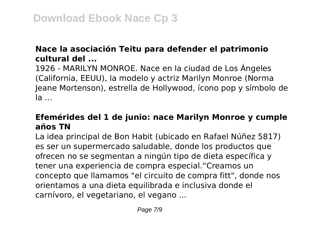## **Nace la asociación Teitu para defender el patrimonio cultural del ...**

1926 - MARILYN MONROE. Nace en la ciudad de Los Ángeles (California, EEUU), la modelo y actriz Marilyn Monroe (Norma Jeane Mortenson), estrella de Hollywood, ícono pop y símbolo de la ...

# **Efemérides del 1 de junio: nace Marilyn Monroe y cumple años TN**

La idea principal de Bon Habit (ubicado en Rafael Núñez 5817) es ser un supermercado saludable, donde los productos que ofrecen no se segmentan a ningún tipo de dieta específica y tener una experiencia de compra especial."Creamos un concepto que llamamos "el circuito de compra fitt", donde nos orientamos a una dieta equilibrada e inclusiva donde el carnívoro, el vegetariano, el vegano ...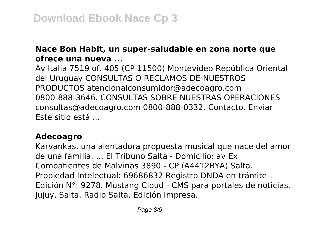### **Nace Bon Habit, un super-saludable en zona norte que ofrece una nueva ...**

Av Italia 7519 of. 405 (CP 11500) Montevideo República Oriental del Uruguay CONSULTAS O RECLAMOS DE NUESTROS PRODUCTOS atencionalconsumidor@adecoagro.com 0800-888-3646. CONSULTAS SOBRE NUESTRAS OPERACIONES consultas@adecoagro.com 0800-888-0332. Contacto. Enviar Este sitio está ...

#### **Adecoagro**

Karvankas, una alentadora propuesta musical que nace del amor de una familia. ... El Tribuno Salta - Domicilio: av Ex Combatientes de Malvinas 3890 - CP (A4412BYA) Salta. Propiedad Intelectual: 69686832 Registro DNDA en trámite - Edición N°: 9278. Mustang Cloud - CMS para portales de noticias. Jujuy. Salta. Radio Salta. Edición Impresa.